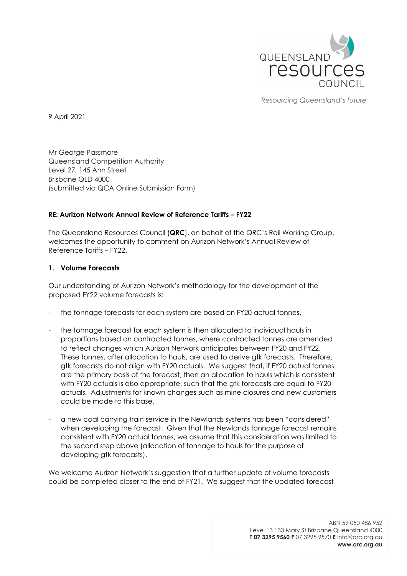

*Resourcing Queensland's future*

9 April 2021

Mr George Passmore Queensland Competition Authority Level 27, 145 Ann Street Brisbane QLD 4000 (submitted via QCA Online Submission Form)

# **RE: Aurizon Network Annual Review of Reference Tariffs – FY22**

The Queensland Resources Council (**QRC**), on behalf of the QRC's Rail Working Group, welcomes the opportunity to comment on Aurizon Network's Annual Review of Reference Tariffs – FY22.

## **1. Volume Forecasts**

Our understanding of Aurizon Network's methodology for the development of the proposed FY22 volume forecasts is:

- the tonnage forecasts for each system are based on FY20 actual tonnes.
- the tonnage forecast for each system is then allocated to individual hauls in proportions based on contracted tonnes, where contracted tonnes are amended to reflect changes which Aurizon Network anticipates between FY20 and FY22. These tonnes, after allocation to hauls, are used to derive gtk forecasts. Therefore, gtk forecasts do not align with FY20 actuals. We suggest that, if FY20 actual tonnes are the primary basis of the forecast, then an allocation to hauls which is consistent with FY20 actuals is also appropriate, such that the gtk forecasts are equal to FY20 actuals. Adjustments for known changes such as mine closures and new customers could be made to this base.
- a new coal carrying train service in the Newlands systems has been "considered" when developing the forecast. Given that the Newlands tonnage forecast remains consistent with FY20 actual tonnes, we assume that this consideration was limited to the second step above (allocation of tonnage to hauls for the purpose of developing gtk forecasts).

We welcome Aurizon Network's suggestion that a further update of volume forecasts could be completed closer to the end of FY21. We suggest that the updated forecast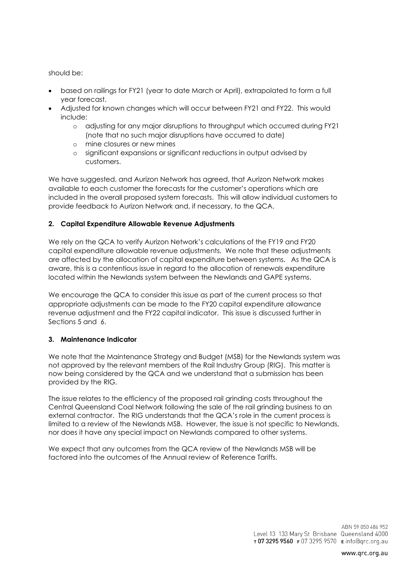should be:

- based on railings for FY21 (year to date March or April), extrapolated to form a full year forecast.
- Adjusted for known changes which will occur between FY21 and FY22. This would include:
	- o adjusting for any major disruptions to throughput which occurred during FY21 (note that no such major disruptions have occurred to date)
	- o mine closures or new mines
	- o significant expansions or significant reductions in output advised by customers.

We have suggested, and Aurizon Network has agreed, that Aurizon Network makes available to each customer the forecasts for the customer's operations which are included in the overall proposed system forecasts. This will allow individual customers to provide feedback to Aurizon Network and, if necessary, to the QCA.

# **2. Capital Expenditure Allowable Revenue Adjustments**

We rely on the QCA to verify Aurizon Network's calculations of the FY19 and FY20 capital expenditure allowable revenue adjustments. We note that these adjustments are affected by the allocation of capital expenditure between systems. As the QCA is aware, this is a contentious issue in regard to the allocation of renewals expenditure located within the Newlands system between the Newlands and GAPE systems.

We encourage the QCA to consider this issue as part of the current process so that appropriate adjustments can be made to the FY20 capital expenditure allowance revenue adjustment and the FY22 capital indicator. This issue is discussed further in Sections 5 and 6.

# **3. Maintenance Indicator**

We note that the Maintenance Strategy and Budget (MSB) for the Newlands system was not approved by the relevant members of the Rail Industry Group (RIG). This matter is now being considered by the QCA and we understand that a submission has been provided by the RIG.

The issue relates to the efficiency of the proposed rail grinding costs throughout the Central Queensland Coal Network following the sale of the rail grinding business to an external contractor. The RIG understands that the QCA's role in the current process is limited to a review of the Newlands MSB. However, the issue is not specific to Newlands, nor does it have any special impact on Newlands compared to other systems.

We expect that any outcomes from the QCA review of the Newlands MSB will be factored into the outcomes of the Annual review of Reference Tariffs.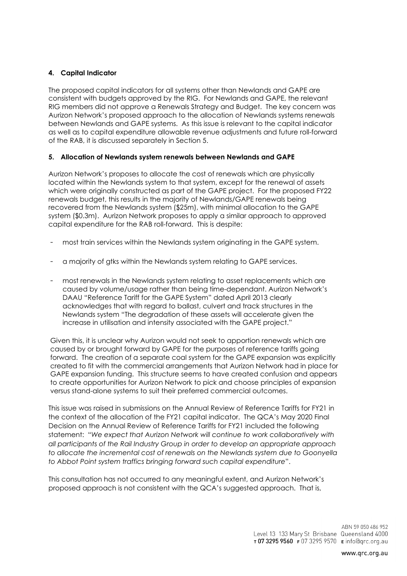# **4. Capital Indicator**

The proposed capital indicators for all systems other than Newlands and GAPE are consistent with budgets approved by the RIG. For Newlands and GAPE, the relevant RIG members did not approve a Renewals Strategy and Budget. The key concern was Aurizon Network's proposed approach to the allocation of Newlands systems renewals between Newlands and GAPE systems. As this issue is relevant to the capital indicator as well as to capital expenditure allowable revenue adjustments and future roll-forward of the RAB, it is discussed separately in Section 5.

## **5. Allocation of Newlands system renewals between Newlands and GAPE**

Aurizon Network's proposes to allocate the cost of renewals which are physically located within the Newlands system to that system, except for the renewal of assets which were originally constructed as part of the GAPE project. For the proposed FY22 renewals budget, this results in the majority of Newlands/GAPE renewals being recovered from the Newlands system (\$25m), with minimal allocation to the GAPE system (\$0.3m). Aurizon Network proposes to apply a similar approach to approved capital expenditure for the RAB roll-forward. This is despite:

- most train services within the Newlands system originating in the GAPE system.
- a majority of gtks within the Newlands system relating to GAPE services.
- most renewals in the Newlands system relating to asset replacements which are caused by volume/usage rather than being time-dependant. Aurizon Network's DAAU "Reference Tariff for the GAPE System" dated April 2013 clearly acknowledges that with regard to ballast, culvert and track structures in the Newlands system "The degradation of these assets will accelerate given the increase in utilisation and intensity associated with the GAPE project."

Given this, it is unclear why Aurizon would not seek to apportion renewals which are caused by or brought forward by GAPE for the purposes of reference tariffs going forward. The creation of a separate coal system for the GAPE expansion was explicitly created to fit with the commercial arrangements that Aurizon Network had in place for GAPE expansion funding. This structure seems to have created confusion and appears to create opportunities for Aurizon Network to pick and choose principles of expansion versus stand-alone systems to suit their preferred commercial outcomes.

This issue was raised in submissions on the Annual Review of Reference Tariffs for FY21 in the context of the allocation of the FY21 capital indicator. The QCA's May 2020 Final Decision on the Annual Review of Reference Tariffs for FY21 included the following statement: "*We expect that Aurizon Network will continue to work collaboratively with all participants of the Rail Industry Group in order to develop an appropriate approach to allocate the incremental cost of renewals on the Newlands system due to Goonyella to Abbot Point system traffics bringing forward such capital expenditure*".

This consultation has not occurred to any meaningful extent, and Aurizon Network's proposed approach is not consistent with the QCA's suggested approach. That is,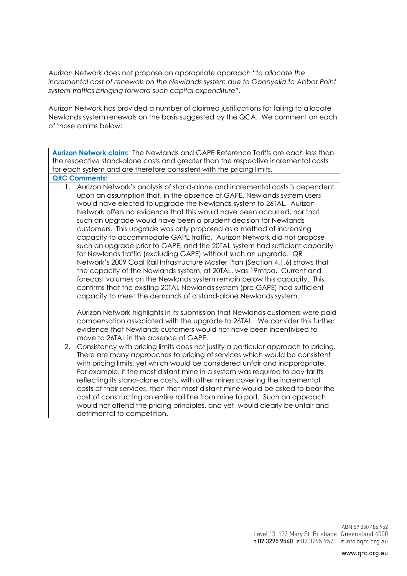Aurizon Network does not propose an appropriate approach "*to allocate the incremental cost of renewals on the Newlands system due to Goonyella to Abbot Point system traffics bringing forward such capital expenditure*".

Aurizon Network has provided a number of claimed justifications for failing to allocate Newlands system renewals on the basis suggested by the QCA. We comment on each of those claims below:

**Aurizon Network claim:** The Newlands and GAPE Reference Tariffs are each less than the respective stand-alone costs and greater than the respective incremental costs for each system and are therefore consistent with the pricing limits. **QRC Comments:** 

1. Aurizon Network's analysis of stand-alone and incremental costs is dependent upon an assumption that, in the absence of GAPE, Newlands system users would have elected to upgrade the Newlands system to 26TAL. Aurizon Network offers no evidence that this would have been occurred, nor that such an upgrade would have been a prudent decision for Newlands customers. This upgrade was only proposed as a method of increasing capacity to accommodate GAPE traffic. Aurizon Network did not propose such an upgrade prior to GAPE, and the 20TAL system had sufficient capacity for Newlands traffic (excluding GAPE) without such an upgrade. QR Network's 2009 Coal Rail Infrastructure Master Plan (Section 4.1.6) shows that the capacity of the Newlands system, at 20TAL, was 19mtpa. Current and forecast volumes on the Newlands system remain below this capacity. This confirms that the existing 20TAL Newlands system (pre-GAPE) had sufficient capacity to meet the demands of a stand-alone Newlands system.

Aurizon Network highlights in its submission that Newlands customers were paid compensation associated with the upgrade to 26TAL. We consider this further evidence that Newlands customers would not have been incentivised to move to 26TAL in the absence of GAPE.

2. Consistency with pricing limits does not justify a particular approach to pricing. There are many approaches to pricing of services which would be consistent with pricing limits, yet which would be considered unfair and inappropriate. For example, if the most distant mine in a system was required to pay tariffs reflecting its stand-alone costs, with other mines covering the incremental costs of their services, then that most distant mine would be asked to bear the cost of constructing an entire rail line from mine to port. Such an approach would not offend the pricing principles, and yet, would clearly be unfair and detrimental to competition.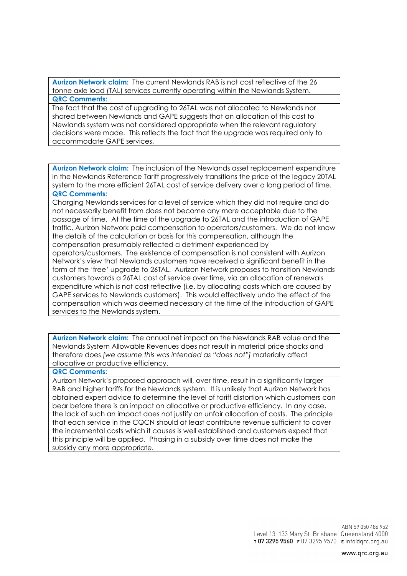**Aurizon Network claim:** The current Newlands RAB is not cost reflective of the 26 tonne axle load (TAL) services currently operating within the Newlands System. **QRC Comments:** 

The fact that the cost of upgrading to 26TAL was not allocated to Newlands nor shared between Newlands and GAPE suggests that an allocation of this cost to Newlands system was not considered appropriate when the relevant regulatory decisions were made. This reflects the fact that the upgrade was required only to accommodate GAPE services.

**Aurizon Network claim:** The inclusion of the Newlands asset replacement expenditure in the Newlands Reference Tariff progressively transitions the price of the legacy 20TAL system to the more efficient 26TAL cost of service delivery over a long period of time.

### **QRC Comments:**

Charging Newlands services for a level of service which they did not require and do not necessarily benefit from does not become any more acceptable due to the passage of time. At the time of the upgrade to 26TAL and the introduction of GAPE traffic, Aurizon Network paid compensation to operators/customers. We do not know the details of the calculation or basis for this compensation, although the compensation presumably reflected a detriment experienced by operators/customers. The existence of compensation is not consistent with Aurizon Network's view that Newlands customers have received a significant benefit in the

form of the 'free' upgrade to 26TAL. Aurizon Network proposes to transition Newlands customers towards a 26TAL cost of service over time, via an allocation of renewals expenditure which is not cost reflective (i.e. by allocating costs which are caused by GAPE services to Newlands customers). This would effectively undo the effect of the compensation which was deemed necessary at the time of the introduction of GAPE services to the Newlands system.

**Aurizon Network claim:** The annual net impact on the Newlands RAB value and the Newlands System Allowable Revenues does not result in material price shocks and therefore does *[we assume this was intended as "does not"]* materially affect allocative or productive efficiency.

### **QRC Comments:**

Aurizon Network's proposed approach will, over time, result in a significantly larger RAB and higher tariffs for the Newlands system. It is unlikely that Aurizon Network has obtained expert advice to determine the level of tariff distortion which customers can bear before there is an impact on allocative or productive efficiency. In any case, the lack of such an impact does not justify an unfair allocation of costs. The principle that each service in the CQCN should at least contribute revenue sufficient to cover the incremental costs which it causes is well established and customers expect that this principle will be applied. Phasing in a subsidy over time does not make the subsidy any more appropriate.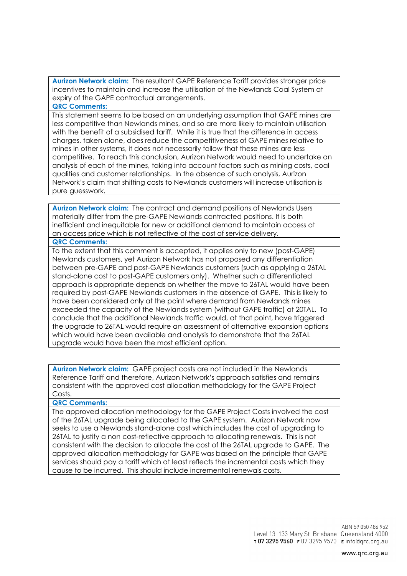**Aurizon Network claim:** The resultant GAPE Reference Tariff provides stronger price incentives to maintain and increase the utilisation of the Newlands Coal System at expiry of the GAPE contractual arrangements.

**QRC Comments:** 

This statement seems to be based on an underlying assumption that GAPE mines are less competitive than Newlands mines, and so are more likely to maintain utilisation with the benefit of a subsidised tariff. While it is true that the difference in access charges, taken alone, does reduce the competitiveness of GAPE mines relative to mines in other systems, it does not necessarily follow that these mines are less competitive. To reach this conclusion, Aurizon Network would need to undertake an analysis of each of the mines, taking into account factors such as mining costs, coal qualities and customer relationships. In the absence of such analysis, Aurizon Network's claim that shifting costs to Newlands customers will increase utilisation is pure guesswork.

**Aurizon Network claim:** The contract and demand positions of Newlands Users materially differ from the pre-GAPE Newlands contracted positions. It is both inefficient and inequitable for new or additional demand to maintain access at an access price which is not reflective of the cost of service delivery.

### **QRC Comments:**

To the extent that this comment is accepted, it applies only to new (post-GAPE) Newlands customers, yet Aurizon Network has not proposed any differentiation between pre-GAPE and post-GAPE Newlands customers (such as applying a 26TAL stand-alone cost to post-GAPE customers only). Whether such a differentiated approach is appropriate depends on whether the move to 26TAL would have been required by post-GAPE Newlands customers in the absence of GAPE. This is likely to have been considered only at the point where demand from Newlands mines exceeded the capacity of the Newlands system (without GAPE traffic) at 20TAL. To conclude that the additional Newlands traffic would, at that point, have triggered the upgrade to 26TAL would require an assessment of alternative expansion options which would have been available and analysis to demonstrate that the 26TAL upgrade would have been the most efficient option.

**Aurizon Network claim:** GAPE project costs are not included in the Newlands Reference Tariff and therefore, Aurizon Network's approach satisfies and remains consistent with the approved cost allocation methodology for the GAPE Project Costs.

#### **QRC Comments:**

The approved allocation methodology for the GAPE Project Costs involved the cost of the 26TAL upgrade being allocated to the GAPE system. Aurizon Network now seeks to use a Newlands stand-alone cost which includes the cost of upgrading to 26TAL to justify a non cost-reflective approach to allocating renewals. This is not consistent with the decision to allocate the cost of the 26TAL upgrade to GAPE. The approved allocation methodology for GAPE was based on the principle that GAPE services should pay a tariff which at least reflects the incremental costs which they cause to be incurred. This should include incremental renewals costs.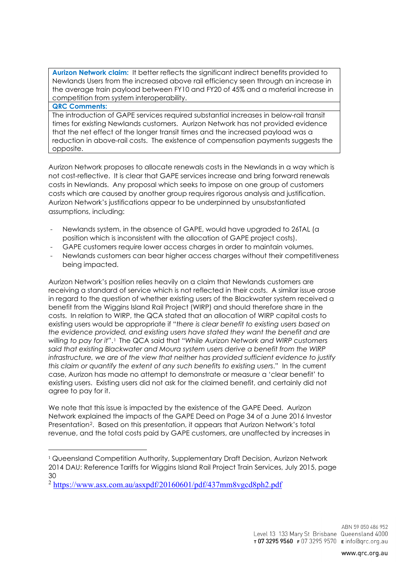**Aurizon Network claim:** It better reflects the significant indirect benefits provided to Newlands Users from the increased above rail efficiency seen through an increase in the average train payload between FY10 and FY20 of 45% and a material increase in competition from system interoperability. **QRC Comments:** 

The introduction of GAPE services required substantial increases in below-rail transit times for existing Newlands customers. Aurizon Network has not provided evidence that the net effect of the longer transit times and the increased payload was a reduction in above-rail costs. The existence of compensation payments suggests the opposite.

Aurizon Network proposes to allocate renewals costs in the Newlands in a way which is not cost-reflective. It is clear that GAPE services increase and bring forward renewals costs in Newlands. Any proposal which seeks to impose on one group of customers costs which are caused by another group requires rigorous analysis and justification. Aurizon Network's justifications appear to be underpinned by unsubstantiated assumptions, including:

- Newlands system, in the absence of GAPE, would have upgraded to 26TAL (a position which is inconsistent with the allocation of GAPE project costs).
- GAPE customers require lower access charges in order to maintain volumes.
- Newlands customers can bear higher access charges without their competitiveness being impacted.

Aurizon Network's position relies heavily on a claim that Newlands customers are receiving a standard of service which is not reflected in their costs. A similar issue arose in regard to the question of whether existing users of the Blackwater system received a benefit from the Wiggins Island Rail Project (WIRP) and should therefore share in the costs. In relation to WIRP, the QCA stated that an allocation of WIRP capital costs to existing users would be appropriate if "*there is clear benefit to existing users based on the evidence provided, and existing users have stated they want the benefit and are willing to pay for it*".[1](#page-6-0) The QCA said that "*While Aurizon Network and WIRP customers said that existing Blackwater and Moura system users derive a benefit from the WIRP infrastructure, we are of the view that neither has provided sufficient evidence to justify this claim or quantify the extent of any such benefits to existing users*." In the current case, Aurizon has made no attempt to demonstrate or measure a 'clear benefit' to existing users. Existing users did not ask for the claimed benefit, and certainly did not agree to pay for it.

We note that this issue is impacted by the existence of the GAPE Deed. Aurizon Network explained the impacts of the GAPE Deed on Page 34 of a June 2016 Investor Presentation[2](#page-6-1). Based on this presentation, it appears that Aurizon Network's total revenue, and the total costs paid by GAPE customers, are unaffected by increases in

<span id="page-6-0"></span><sup>1</sup> Queensland Competition Authority, Supplementary Draft Decision, Aurizon Network 2014 DAU: Reference Tariffs for Wiggins Island Rail Project Train Services, July 2015, page 30

<span id="page-6-1"></span><sup>2</sup> <https://www.asx.com.au/asxpdf/20160601/pdf/437mm8vgcd8ph2.pdf>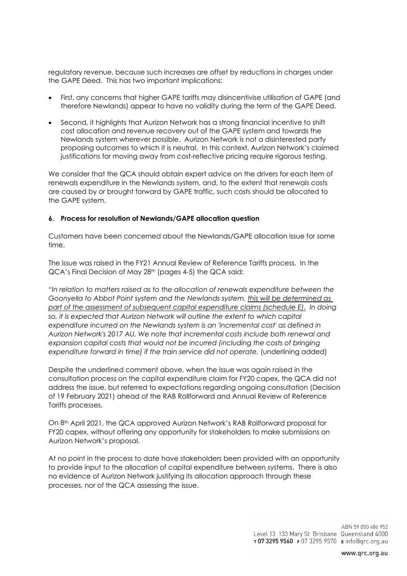regulatory revenue, because such increases are offset by reductions in charges under the GAPE Deed. This has two important implications:

- First, any concerns that higher GAPE tariffs may disincentivise utilisation of GAPE (and therefore Newlands) appear to have no validity during the term of the GAPE Deed.
- Second, it highlights that Aurizon Network has a strong financial incentive to shift cost allocation and revenue recovery out of the GAPE system and towards the Newlands system wherever possible. Aurizon Network is not a disinterested party proposing outcomes to which it is neutral. In this context, Aurizon Network's claimed justifications for moving away from cost-reflective pricing require rigorous testing.

We consider that the QCA should obtain expert advice on the drivers for each item of renewals expenditure in the Newlands system, and, to the extent that renewals costs are caused by or brought forward by GAPE traffic, such costs should be allocated to the GAPE system.

### **6. Process for resolution of Newlands/GAPE allocation question**

Customers have been concerned about the Newlands/GAPE allocation issue for some time.

The issue was raised in the FY21 Annual Review of Reference Tariffs process. In the QCA's Final Decision of May 28<sup>th</sup> (pages 4-5) the QCA said:

*"In relation to matters raised as to the allocation of renewals expenditure between the Goonyella to Abbot Point system and the Newlands system, this will be determined as part of the assessment of subsequent capital expenditure claims (schedule E). In doing*  so, it is expected that Aurizon Network will outline the extent to which capital *expenditure incurred on the Newlands system is an 'incremental cost' as defined in Aurizon Network's 2017 AU. We note that incremental costs include both renewal and expansion capital costs that would not be incurred (including the costs of bringing expenditure forward in time) if the train service did not operate.* (underlining added)

Despite the underlined comment above, when the issue was again raised in the consultation process on the capital expenditure claim for FY20 capex, the QCA did not address the issue, but referred to expectations regarding ongoing consultation (Decision of 19 February 2021) ahead of the RAB Rollforward and Annual Review of Reference Tariffs processes.

On 8th April 2021, the QCA approved Aurizon Network's RAB Rollforward proposal for FY20 capex, without offering any opportunity for stakeholders to make submissions on Aurizon Network's proposal.

At no point in the process to date have stakeholders been provided with an opportunity to provide input to the allocation of capital expenditure between systems. There is also no evidence of Aurizon Network justifying its allocation approach through these processes, nor of the QCA assessing the issue.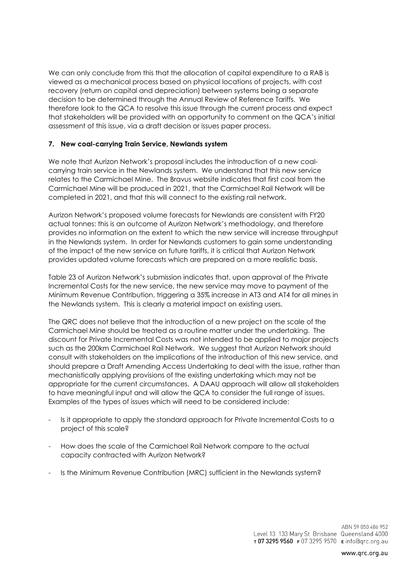We can only conclude from this that the allocation of capital expenditure to a RAB is viewed as a mechanical process based on physical locations of projects, with cost recovery (return on capital and depreciation) between systems being a separate decision to be determined through the Annual Review of Reference Tariffs. We therefore look to the QCA to resolve this issue through the current process and expect that stakeholders will be provided with an opportunity to comment on the QCA's initial assessment of this issue, via a draft decision or issues paper process.

## **7. New coal-carrying Train Service, Newlands system**

We note that Aurizon Network's proposal includes the introduction of a new coalcarrying train service in the Newlands system. We understand that this new service relates to the Carmichael Mine. The Bravus website indicates that first coal from the Carmichael Mine will be produced in 2021, that the Carmichael Rail Network will be completed in 2021, and that this will connect to the existing rail network.

Aurizon Network's proposed volume forecasts for Newlands are consistent with FY20 actual tonnes: this is an outcome of Aurizon Network's methodology, and therefore provides no information on the extent to which the new service will increase throughput in the Newlands system. In order for Newlands customers to gain some understanding of the impact of the new service on future tariffs, it is critical that Aurizon Network provides updated volume forecasts which are prepared on a more realistic basis.

Table 23 of Aurizon Network's submission indicates that, upon approval of the Private Incremental Costs for the new service, the new service may move to payment of the Minimum Revenue Contribution, triggering a 35% increase in AT3 and AT4 for all mines in the Newlands system. This is clearly a material impact on existing users.

The QRC does not believe that the introduction of a new project on the scale of the Carmichael Mine should be treated as a routine matter under the undertaking. The discount for Private Incremental Costs was not intended to be applied to major projects such as the 200km Carmichael Rail Network. We suggest that Aurizon Network should consult with stakeholders on the implications of the introduction of this new service, and should prepare a Draft Amending Access Undertaking to deal with the issue, rather than mechanistically applying provisions of the existing undertaking which may not be appropriate for the current circumstances. A DAAU approach will allow all stakeholders to have meaningful input and will allow the QCA to consider the full range of issues. Examples of the types of issues which will need to be considered include:

- Is it appropriate to apply the standard approach for Private Incremental Costs to a project of this scale?
- How does the scale of the Carmichael Rail Network compare to the actual capacity contracted with Aurizon Network?
- Is the Minimum Revenue Contribution (MRC) sufficient in the Newlands system?